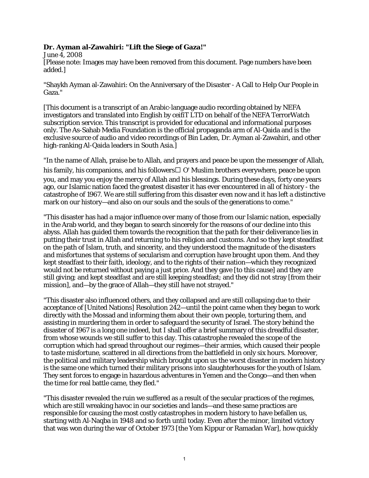## **Dr. Ayman al-Zawahiri: "Lift the Siege of Gaza!"**

June 4, 2008 [Please note: Images may have been removed from this document. Page numbers have been added.]

"Shaykh Ayman al-Zawahiri: On the Anniversary of the Disaster - A Call to Help Our People in Gaza."

[This document is a transcript of an Arabic-language audio recording obtained by NEFA investigators and translated into English by ceifiT LTD on behalf of the NEFA TerrorWatch subscription service. This transcript is provided for educational and informational purposes only. The As-Sahab Media Foundation is the official propaganda arm of Al-Qaida and is the exclusive source of audio and video recordings of Bin Laden, Dr. Ayman al-Zawahiri, and other high-ranking Al-Qaida leaders in South Asia.]

"In the name of Allah, praise be to Allah, and prayers and peace be upon the messenger of Allah, his family, his companions, and his followers  $\Box$  O' Muslim brothers everywhere, peace be upon you, and may you enjoy the mercy of Allah and his blessings. During these days, forty one years ago, our Islamic nation faced the greatest disaster it has ever encountered in all of history - the catastrophe of 1967. We are still suffering from this disaster even now and it has left a distinctive mark on our history—and also on our souls and the souls of the generations to come."

"This disaster has had a major influence over many of those from our Islamic nation, especially in the Arab world, and they began to search sincerely for the reasons of our decline into this abyss. Allah has guided them towards the recognition that the path for their deliverance lies in putting their trust in Allah and returning to his religion and customs. And so they kept steadfast on the path of Islam, truth, and sincerity, and they understood the magnitude of the disasters and misfortunes that systems of secularism and corruption have brought upon them. And they kept steadfast to their faith, ideology, and to the rights of their nation—which they recognized would not be returned without paying a just price. And they gave [to this cause] and they are still giving; and kept steadfast and are still keeping steadfast; and they did not stray [from their mission], and—by the grace of Allah—they still have not strayed."

"This disaster also influenced others, and they collapsed and are still collapsing due to their acceptance of [United Nations] Resolution 242—until the point came when they began to work directly with the Mossad and informing them about their own people, torturing them, and assisting in murdering them in order to safeguard the security of Israel. The story behind the disaster of 1967 is a long one indeed, but I shall offer a brief summary of this dreadful disaster, from whose wounds we still suffer to this day. This catastrophe revealed the scope of the corruption which had spread throughout our regimes—their armies, which caused their people to taste misfortune, scattered in all directions from the battlefield in only six hours. Moreover, the political and military leadership which brought upon us the worst disaster in modern history is the same one which turned their military prisons into slaughterhouses for the youth of Islam. They sent forces to engage in hazardous adventures in Yemen and the Congo—and then when the time for real battle came, they fled."

"This disaster revealed the ruin we suffered as a result of the secular practices of the regimes, which are still wreaking havoc in our societies and lands—and these same practices are responsible for causing the most costly catastrophes in modern history to have befallen us, starting with Al-Naqba in 1948 and so forth until today. Even after the minor, limited victory that was won during the war of October 1973 [the Yom Kippur or Ramadan War], how quickly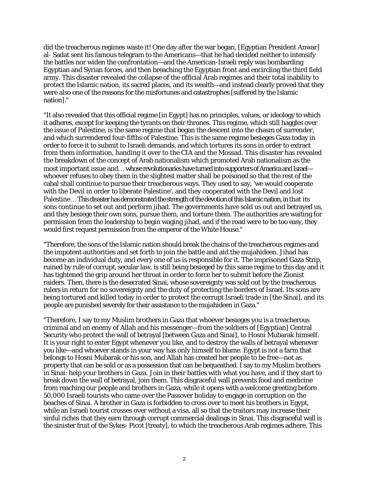did the treacherous regimes waste it! One day after the war began, [Egyptian President Anwar] al- Sadat sent his famous telegram to the Americans—that he had decided neither to intensify the battles nor widen the confrontation—and the American-Israeli reply was bombarding Egyptian and Syrian forces, and then breaching the Egyptian front and encircling the third field army. This disaster revealed the collapse of the official Arab regimes and their total inability to protect the Islamic nation, its sacred places, and its wealth—and instead clearly proved that they were also one of the reasons for the misfortunes and catastrophes [suffered by the Islamic nation]."

"It also revealed that this official regime [in Egypt] has no principles, values, or ideology to which it adheres, except for keeping the tyrants on their thrones. This regime, which still haggles over the issue of Palestine, is the same regime that began the descent into the chasm of surrender, and which surrendered four-fifths of Palestine. This is the same regime besieges Gaza today in order to force it to submit to Israeli demands, and which tortures its sons in order to extract from them information, handing it over to the CIA and the Mossad. This disaster has revealed the breakdown of the concept of Arab nationalism which promoted Arab nationalism as the most important issue and ... whose revolutionaries have turned into supporters of America and Israel whoever refuses to obey them in the slightest matter shall be poisoned so that the rest of the cabal shall continue to pursue their treacherous ways. They used to say, 'we would cooperate with the Devil in order to liberate Palestine', and they cooperated with the Devil and lost Palestine ... This disaster has demonstrated the strength of the devotion of this Islamic nation, in that its sons continue to set out and perform jihad. The governments have sold us out and betrayed us, and they besiege their own sons, pursue them, and torture them. The authorities are waiting for permission from the leadership to begin waging jihad, and if the road were to be too easy, they would first request permission from the emperor of the White House."

"Therefore, the sons of the Islamic nation should break the chains of the treacherous regimes and the impotent authorities and set forth to join the battle and aid the mujahideen. Jihad has become an individual duty, and every one of us is responsible for it. The imprisoned Gaza Strip, ruined by rule of corrupt, secular law, is still being besieged by this same regime to this day and it has tightened the grip around her throat in order to force her to submit before the Zionist raiders. Then, there is the desecrated Sinai, whose sovereignty was sold out by the treacherous rulers in return for no sovereignty and the duty of protecting the borders of Israel. Its sons are being tortured and killed today in order to protect the corrupt Israeli trade in [the Sinai], and its people are punished severely for their assistance to the mujahideen in Gaza."

"Therefore, I say to my Muslim brothers in Gaza that whoever besieges you is a treacherous criminal and an enemy of Allah and his messenger—from the soldiers of [Egyptian] Central Security who protect the wall of betrayal [between Gaza and Sinai], to Hosni Mubarak himself. It is your right to enter Egypt whenever you like, and to destroy the walls of betrayal whenever you like—and whoever stands in your way has only himself to blame. Egypt is not a farm that belongs to Hosni Mubarak or his son, and Allah has created her people to be free—not as property that can be sold or as a possession that can be bequeathed. I say to my Muslim brothers in Sinai: help your brothers in Gaza. Join in their battles with what you have, and if they start to break down the wall of betrayal, join them. This disgraceful wall prevents food and medicine from reaching our people and brothers in Gaza, while it opens with a welcome greeting before 50,000 Israeli tourists who came over the Passover holiday to engage in corruption on the beaches of Sinai. A brother in Gaza is forbidden to cross over to meet his brothers in Egypt, while an Israeli tourist crosses over without a visa, all so that the traitors may increase their sinful riches that they earn through corrupt commercial dealings in Sinai. This disgraceful wall is the sinister fruit of the Sykes- Picot [treaty], to which the treacherous Arab regimes adhere. This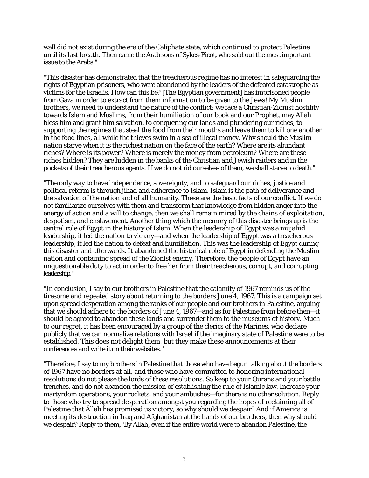wall did not exist during the era of the Caliphate state, which continued to protect Palestine until its last breath. Then came the Arab sons of Sykes-Picot, who sold out the most important issue to the Arabs."

"This disaster has demonstrated that the treacherous regime has no interest in safeguarding the rights of Egyptian prisoners, who were abandoned by the leaders of the defeated catastrophe as victims for the Israelis. How can this be? [The Egyptian government] has imprisoned people from Gaza in order to extract from them information to be given to the Jews! My Muslim brothers, we need to understand the nature of the conflict: we face a Christian-Zionist hostility towards Islam and Muslims, from their humiliation of our book and our Prophet, may Allah bless him and grant him salvation, to conquering our lands and plundering our riches, to supporting the regimes that steal the food from their mouths and leave them to kill one another in the food lines, all while the thieves swim in a sea of illegal money. Why should the Muslim nation starve when it is the richest nation on the face of the earth? Where are its abundant riches? Where is its power? Where is merely the money from petroleum? Where are these riches hidden? They are hidden in the banks of the Christian and Jewish raiders and in the pockets of their treacherous agents. If we do not rid ourselves of them, we shall starve to death."

"The only way to have independence, sovereignty, and to safeguard our riches, justice and political reform is through jihad and adherence to Islam. Islam is the path of deliverance and the salvation of the nation and of all humanity. These are the basic facts of our conflict. If we do not familiarize ourselves with them and transform that knowledge from hidden anger into the energy of action and a will to change, then we shall remain mired by the chains of exploitation, despotism, and enslavement. Another thing which the memory of this disaster brings up is the central role of Egypt in the history of Islam. When the leadership of Egypt was a mujahid leadership, it led the nation to victory—and when the leadership of Egypt was a treacherous leadership, it led the nation to defeat and humiliation. This was the leadership of Egypt during this disaster and afterwards. It abandoned the historical role of Egypt in defending the Muslim nation and containing spread of the Zionist enemy. Therefore, the people of Egypt have an unquestionable duty to act in order to free her from their treacherous, corrupt, and corrupting leadership."

"In conclusion, I say to our brothers in Palestine that the calamity of 1967 reminds us of the tiresome and repeated story about returning to the borders June 4, 1967. This is a campaign set upon spread desperation among the ranks of our people and our brothers in Palestine, arguing that we should adhere to the borders of June 4, 1967—and as for Palestine from before then—it should be agreed to abandon these lands and surrender them to the museums of history. Much to our regret, it has been encouraged by a group of the clerics of the Marines, who declare publicly that we can normalize relations with Israel if the imaginary state of Palestine were to be established. This does not delight them, but they make these announcements at their conferences and write it on their websites."

"Therefore, I say to my brothers in Palestine that those who have begun talking about the borders of 1967 have no borders at all, and those who have committed to honoring international resolutions do not please the lords of these resolutions. So keep to your Qurans and your battle trenches, and do not abandon the mission of establishing the rule of Islamic law. Increase your martyrdom operations, your rockets, and your ambushes—for there is no other solution. Reply to those who try to spread desperation amongst you regarding the hopes of reclaiming all of Palestine that Allah has promised us victory, so why should we despair? And if America is meeting its destruction in Iraq and Afghanistan at the hands of our brothers, then why should we despair? Reply to them, 'By Allah, even if the entire world were to abandon Palestine, the